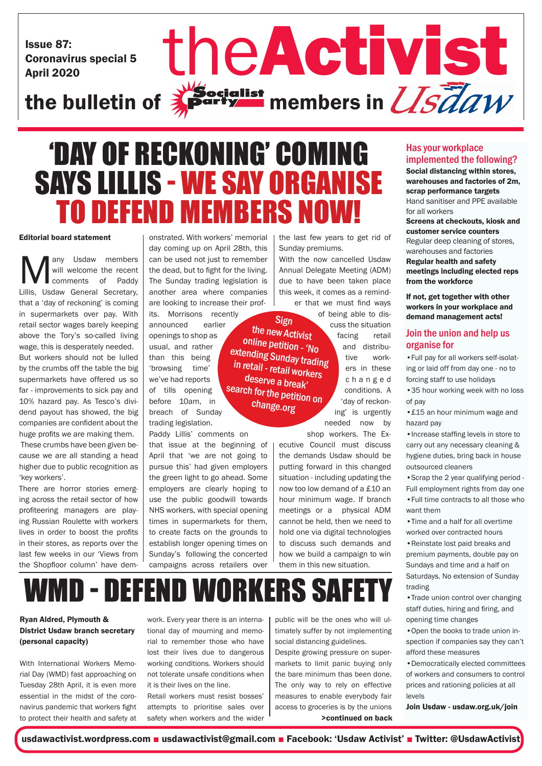Issue 87: Coronavirus special 5 Issue 87:<br>Coronavirus special 5<br>the bulletin of **Activist** members in *USTaw* 

## $\frac{1}{2}$ Socialist<br> $\frac{1}{2}$ Party members in  $\frac{1}{S}$ daw

## 'DAY OF RECKONING' COMING SAYS LILLIS - WE SAY ORGANISE TO DEFEND MEMBERS NOW!

### Editorial board statement

**Many Usdaw members**<br>
will welcome the recent<br>
Lillis, Usdaw General Secretary, will welcome the recent comments of Paddy that a 'day of reckoning' is coming in supermarkets over pay. With retail sector wages barely keeping above the Tory's so-called living wage, this is desperately needed. But workers should not be lulled by the crumbs off the table the big supermarkets have offered us so far - improvements to sick pay and 10% hazard pay. As Tesco's dividend payout has showed, the big companies are confident about the huge profits we are making them. These crumbs have been given because we are all standing a head higher due to public recognition as 'key workers'.

There are horror stories emerging across the retail sector of how profiteering managers are playing Russian Roulette with workers lives in order to boost the profits in their stores, as reports over the last few weeks in our 'Views from the Shopfloor column' have dem-

onstrated. With workers' memorial day coming up on April 28th, this can be used not just to remember the dead, but to fight for the living. The Sunday trading legislation is another area where companies are looking to increase their prof-

its. Morrisons recently announced earlier openings to shop as usual, and rather than this being 'browsing time' we've had reports of tills opening before 10am, in breach of Sunday trading legislation. search for the petition on

Paddy Lillis' comments on that issue at the beginning of April that 'we are not going to pursue this' had given employers the green light to go ahead. Some employers are clearly hoping to use the public goodwill towards NHS workers, with special opening times in supermarkets for them, to create facts on the grounds to establish longer opening times on Sunday's following the concerted campaigns across retailers over

the last few years to get rid of Sunday premiums.

With the now cancelled Usdaw Annual Delegate Meeting (ADM) due to have been taken place this week, it comes as a reminder that we must find ways

Sign the new Activist online petition - 'No extending Sunday trading in retail - retail workers deserve a break'

change.org

of being able to dis-

cuss the situation facing retail and distributive workers in these c h a n g e d conditions. A 'day of reckoning' is urgently

needed now by shop workers. The Ex-

ecutive Council must discuss the demands Usdaw should be putting forward in this changed situation - including updating the now too low demand of a £10 an hour minimum wage. If branch meetings or a physical ADM cannot be held, then we need to hold one via digital technologies to discuss such demands and how we build a campaign to win them in this new situation.

### Has your workplace implemented the following?

Social distancing within stores, warehouses and factories of 2m, scrap performance targets Hand sanitiser and PPE available for all workers Screens at checkouts, kiosk and customer service counters Regular deep cleaning of stores, warehouses and factories Regular health and safety meetings including elected reps from the workforce If not, get together with other

workers in your workplace and demand management acts!

### Join the union and help us organise for

•Full pay for all workers self-isolating or laid off from day one - no to forcing staff to use holidays

•35 hour working week with no loss of pay

•£15 an hour minimum wage and hazard pay

•Increase staffing levels in store to carry out any necessary cleaning & hygiene duties, bring back in house outsourced cleaners

•Scrap the 2 year qualifying period - Full employment rights from day one •Full time contracts to all those who want them

•Time and a half for all overtime worked over contracted hours •Reinstate lost paid breaks and premium payments, double pay on Sundays and time and a half on Saturdays. No extension of Sunday trading

•Trade union control over changing staff duties, hiring and firing, and opening time changes

•Open the books to trade union inspection if companies say they can't afford these measures

•Democratically elected committees of workers and consumers to control prices and rationing policies at all levels

Join Usdaw - usdaw.org.uk/join

social distancing guidelines.

>continued on back markets to limit panic buying only the bare minimum thas been done. The only way to rely on effective measures to enable everybody fair access to groceries is by the unions

WMD - DEFEND WORKERS SAFET

### Ryan Aldred, Plymouth & District Usdaw branch secretary (personal capacity)

With International Workers Memorial Day (WMD) fast approaching on Tuesday 28th April, it is even more essential in the midst of the coronavirus pandemic that workers fight to protect their health and safety at

work. Every year there is an international day of mourning and memorial to remember those who have lost their lives due to dangerous working conditions. Workers should not tolerate unsafe conditions when it is their lives on the line.

Retail workers must resist bosses' attempts to prioritise sales over safety when workers and the wider public will be the ones who will ultimately suffer by not implementing

Despite growing pressure on super-